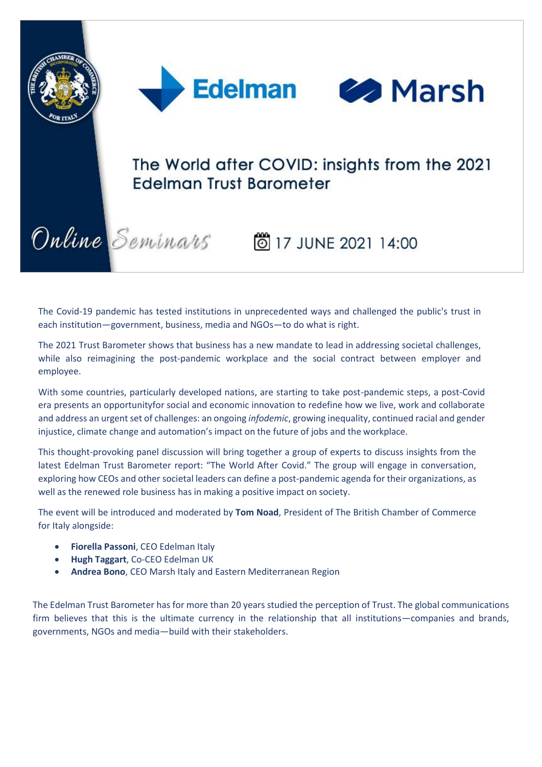



# The World after COVID: insights from the 2021 **Edelman Trust Barometer**

Online Seminars 6 17 JUNE 2021 14:00

The Covid-19 pandemic has tested institutions in unprecedented ways and challenged the public's trust in each institution—government, business, media and NGOs—to do what is right.

The 2021 Trust Barometer shows that business has a new mandate to lead in addressing societal challenges, while also reimagining the post-pandemic workplace and the social contract between employer and employee.

With some countries, particularly developed nations, are starting to take post-pandemic steps, a post-Covid era presents an opportunityfor social and economic innovation to redefine how we live, work and collaborate and address an urgent set of challenges: an ongoing *infodemic*, growing inequality, continued racial and gender injustice, climate change and automation's impact on the future of jobs and the workplace.

This thought-provoking panel discussion will bring together a group of experts to discuss insights from the latest Edelman Trust Barometer report: "The World After Covid." The group will engage in conversation, exploring how CEOs and other societal leaders can define a post-pandemic agenda for their organizations, as well as the renewed role business has in making a positive impact on society.

The event will be introduced and moderated by **Tom Noad**, President of The British Chamber of Commerce for Italy alongside:

- **Fiorella Passoni**, CEO Edelman Italy
- **Hugh Taggart**, Co-CEO Edelman UK
- **Andrea Bono**, CEO Marsh Italy and Eastern Mediterranean Region

The Edelman Trust Barometer has for more than 20 years studied the perception of Trust. The global communications firm believes that this is the ultimate currency in the relationship that all institutions—companies and brands, governments, NGOs and media—build with their stakeholders.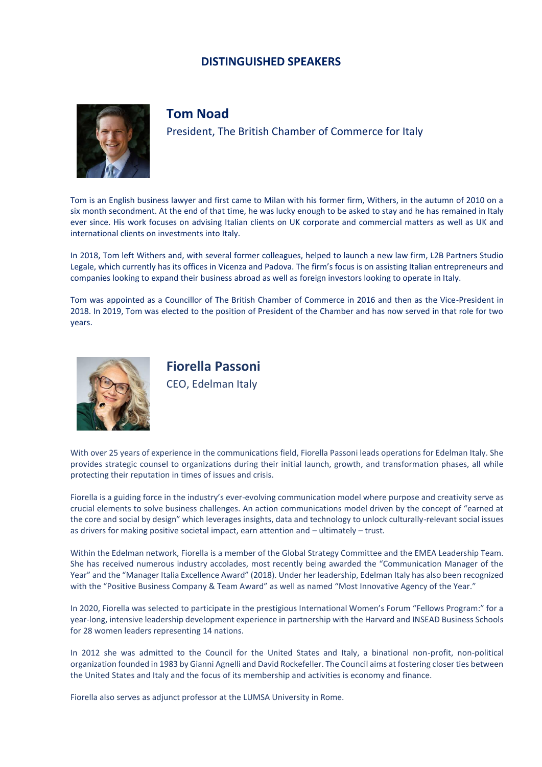#### **DISTINGUISHED SPEAKERS**



### **Tom Noad**

President, The British Chamber of Commerce for Italy

Tom is an English business lawyer and first came to Milan with his former firm, Withers, in the autumn of 2010 on a six month secondment. At the end of that time, he was lucky enough to be asked to stay and he has remained in Italy ever since. His work focuses on advising Italian clients on UK corporate and commercial matters as well as UK and international clients on investments into Italy.

In 2018, Tom left Withers and, with several former colleagues, helped to launch a new law firm, L2B Partners Studio Legale, which currently has its offices in Vicenza and Padova. The firm's focus is on assisting Italian entrepreneurs and companies looking to expand their business abroad as well as foreign investors looking to operate in Italy.

Tom was appointed as a Councillor of The British Chamber of Commerce in 2016 and then as the Vice-President in 2018. In 2019, Tom was elected to the position of President of the Chamber and has now served in that role for two years.



**Fiorella Passoni** CEO, Edelman Italy

With over 25 years of experience in the communications field, Fiorella Passoni leads operations for Edelman Italy. She provides strategic counsel to organizations during their initial launch, growth, and transformation phases, all while protecting their reputation in times of issues and crisis.

Fiorella is a guiding force in the industry's ever-evolving communication model where purpose and creativity serve as crucial elements to solve business challenges. An action communications model driven by the concept of "earned at the core and social by design" which leverages insights, data and technology to unlock culturally-relevant social issues as drivers for making positive societal impact, earn attention and – ultimately – trust.

Within the Edelman network, Fiorella is a member of the Global Strategy Committee and the EMEA Leadership Team. She has received numerous industry accolades, most recently being awarded the "Communication Manager of the Year" and the "Manager Italia Excellence Award" (2018). Under her leadership, Edelman Italy has also been recognized with the "Positive Business Company & Team Award" as well as named "Most Innovative Agency of the Year."

In 2020, Fiorella was selected to participate in the prestigious International Women's Forum "Fellows Program:" for a year-long, intensive leadership development experience in partnership with the Harvard and INSEAD Business Schools for 28 women leaders representing 14 nations.

In 2012 she was admitted to the Council for the United States and Italy, a binational non-profit, non-political organization founded in 1983 by Gianni Agnelli and David Rockefeller. The Council aims at fostering closer ties between the United States and Italy and the focus of its membership and activities is economy and finance.

Fiorella also serves as adjunct professor at the LUMSA University in Rome.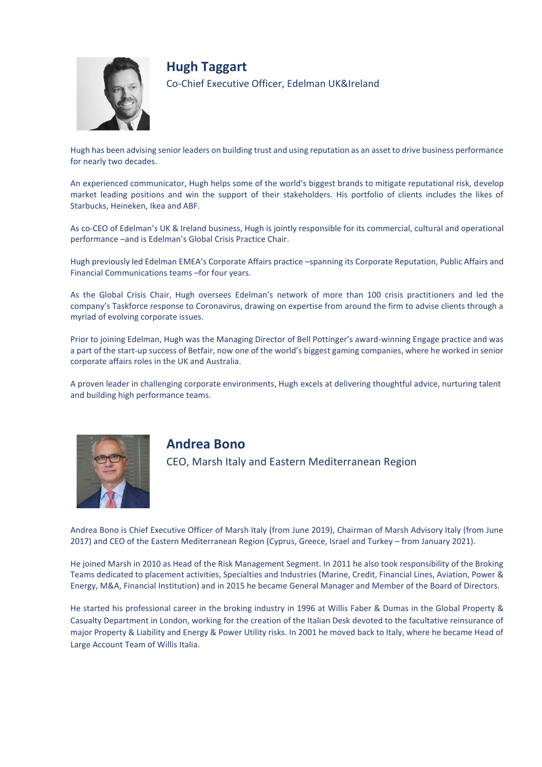

**Hugh Taggart** Co-Chief Executive Officer, Edelman UK&Ireland

Hugh has been advising senior leaders on building trust and using reputation as an asset to drive business performance for nearly two decades.

An experienced communicator, Hugh helps some of the world's biggest brands to mitigate reputational risk, develop market leading positions and win the support of their stakeholders. His portfolio of clients includes the likes of Starbucks, Heineken, Ikea and ABF.

As co-CEO of Edelman's UK & Ireland business, Hugh is jointly responsible for its commercial, cultural and operational performance –and is Edelman's Global Crisis Practice Chair.

Hugh previously led Edelman EMEA's Corporate Affairs practice –spanning its Corporate Reputation, Public Affairs and Financial Communications teams –for four years.

As the Global Crisis Chair, Hugh oversees Edelman's network of more than 100 crisis practitioners and led the company's Taskforce response to Coronavirus, drawing on expertise from around the firm to advise clients through a myriad of evolving corporate issues.

Prior to joining Edelman, Hugh was the Managing Director of Bell Pottinger's award-winning Engage practice and was a part of the start-up success of Betfair, now one of the world's biggest gaming companies, where he worked in senior corporate affairs roles in the UK and Australia.

A proven leader in challenging corporate environments, Hugh excels at delivering thoughtful advice, nurturing talent and building high performance teams.



# **Andrea Bono**

CEO, Marsh Italy and Eastern Mediterranean Region

Andrea Bono is Chief Executive Officer of Marsh Italy (from June 2019), Chairman of Marsh Advisory Italy (from June 2017) and CEO of the Eastern Mediterranean Region (Cyprus, Greece, Israel and Turkey – from January 2021).

He joined Marsh in 2010 as Head of the Risk Management Segment. In 2011 he also took responsibility of the Broking Teams dedicated to placement activities, Specialties and Industries (Marine, Credit, Financial Lines, Aviation, Power & Energy, M&A, Financial Institution) and in 2015 he became General Manager and Member of the Board of Directors.

He started his professional career in the broking industry in 1996 at Willis Faber & Dumas in the Global Property & Casualty Department in London, working for the creation of the Italian Desk devoted to the facultative reinsurance of major Property & Liability and Energy & Power Utility risks. In 2001 he moved back to Italy, where he became Head of Large Account Team of Willis Italia.